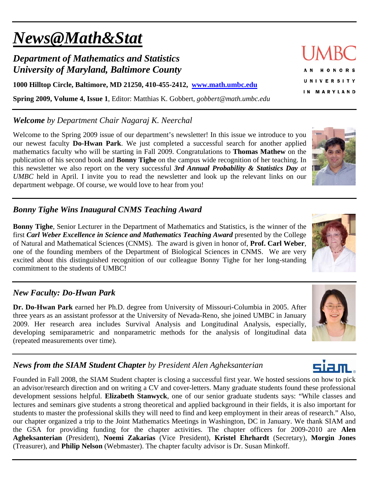# *News@Math&Stat*

## *Department of Mathematics and Statistics University of Maryland, Baltimore County*

**1000 Hilltop Circle, Baltimore, MD 21250, 410-455-2412, www.math.umbc.edu**

**Spring 2009, Volume 4, Issue 1**, Editor: Matthias K. Gobbert, *gobbert@math.umbc.edu* 

## *Welcome by Department Chair Nagaraj K. Neerchal*

Welcome to the Spring 2009 issue of our department's newsletter! In this issue we introduce to you our newest faculty **Do-Hwan Park**. We just completed a successful search for another applied mathematics faculty who will be starting in Fall 2009. Congratulations to **Thomas Mathew** on the publication of his second book and **Bonny Tighe** on the campus wide recognition of her teaching. In this newsletter we also report on the very successful *3rd Annual Probability & Statistics Day at UMBC* held in April. I invite you to read the newsletter and look up the relevant links on our department webpage. Of course, we would love to hear from you!

## *Bonny Tighe Wins Inaugural CNMS Teaching Award*

**Bonny Tighe**, Senior Lecturer in the Department of Mathematics and Statistics, is the winner of the first *Carl Weber Excellence in Science and Mathematics Teaching Award* presented by the College of Natural and Mathematical Sciences (CNMS). The award is given in honor of, **Prof. Carl Weber**, one of the founding members of the Department of Biological Sciences in CNMS. We are very excited about this distinguished recognition of our colleague Bonny Tighe for her long-standing commitment to the students of UMBC!

#### *New Faculty: Do-Hwan Park*

**Dr. Do-Hwan Park** earned her Ph.D. degree from University of Missouri-Columbia in 2005. After three years as an assistant professor at the University of Nevada-Reno, she joined UMBC in January 2009. Her research area includes Survival Analysis and Longitudinal Analysis, especially, developing semiparametric and nonparametric methods for the analysis of longitudinal data (repeated measurements over time).

## *News from the SIAM Student Chapter by President Alen Agheksanterian*

Founded in Fall 2008, the SIAM Student chapter is closing a successful first year. We hosted sessions on how to pick an advisor/research direction and on writing a CV and cover-letters. Many graduate students found these professional development sessions helpful. **Elizabeth Stanwyck**, one of our senior graduate students says: "While classes and lectures and seminars give students a strong theoretical and applied background in their fields, it is also important for students to master the professional skills they will need to find and keep employment in their areas of research." Also, our chapter organized a trip to the Joint Mathematics Meetings in Washington, DC in January. We thank SIAM and the GSA for providing funding for the chapter activities. The chapter officers for 2009-2010 are **Alen Agheksanterian** (President), **Noemi Zakarias** (Vice President), **Kristel Ehrhardt** (Secretary), **Morgin Jones** (Treasurer), and **Philip Nelson** (Webmaster). The chapter faculty advisor is Dr. Susan Minkoff.

## HONORS **UNIVERSITY** IN MARYLAND





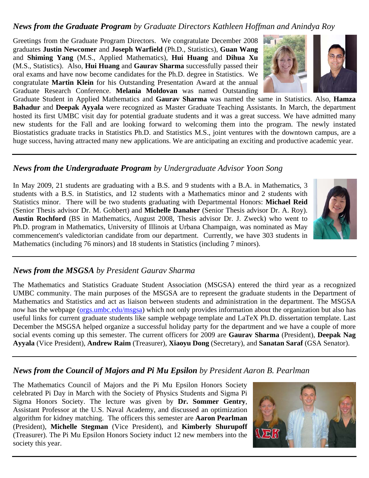#### *News from the Graduate Program by Graduate Directors Kathleen Hoffman and Anindya Roy*

Greetings from the Graduate Program Directors. We congratulate December 2008 graduates **Justin Newcomer** and **Joseph Warfield** (Ph.D., Statistics), **Guan Wang** and **Shiming Yang** (M.S., Applied Mathematics), **Hui Huang** and **Dihua Xu** (M.S., Statistics). Also, **Hui Huang** and **Gaurav Sharma** successfully passed their oral exams and have now become candidates for the Ph.D. degree in Statistics. We congratulate **Martin Klein** for his Outstanding Presentation Award at the annual Graduate Research Conference. **Melania Moldovan** was named Outstanding

Graduate Student in Applied Mathematics and **Gaurav Sharma** was named the same in Statistics. Also, **Hamza Bahadur** and **Deepak Ayyala** were recognized as Master Graduate Teaching Assistants. In March, the department hosted its first UMBC visit day for potential graduate students and it was a great success. We have admitted many new students for the Fall and are looking forward to welcoming them into the program. The newly instated Biostatistics graduate tracks in Statistics Ph.D. and Statistics M.S., joint ventures with the downtown campus, are a huge success, having attracted many new applications. We are anticipating an exciting and productive academic year.

#### *News from the Undergraduate Program by Undergraduate Advisor Yoon Song*

In May 2009, 21 students are graduating with a B.S. and 9 students with a B.A. in Mathematics, 3 students with a B.S. in Statistics, and 12 students with a Mathematics minor and 2 students with Statistics minor. There will be two students graduating with Departmental Honors: **Michael Reid** (Senior Thesis advisor Dr. M. Gobbert) and **Michelle Danaher** (Senior Thesis advisor Dr. A. Roy). **Austin Rochford** (BS in Mathematics, August 2008, Thesis advisor Dr. J. Zweck) who went to Ph.D. program in Mathematics, University of Illinois at Urbana Champaign, was nominated as May commencement's valedictorian candidate from our department. Currently, we have 303 students in Mathematics (including 76 minors) and 18 students in Statistics (including 7 minors).

## *News from the MSGSA by President Gaurav Sharma*

The Mathematics and Statistics Graduate Student Association (MSGSA) entered the third year as a recognized UMBC community. The main purposes of the MSGSA are to represent the graduate students in the Department of Mathematics and Statistics and act as liaison between students and administration in the department. The MSGSA now has the webpage (orgs.umbc.edu/msgsa) which not only provides information about the organization but also has useful links for current graduate students like sample webpage template and LaTeX Ph.D. dissertation template. Last December the MSGSA helped organize a successful holiday party for the department and we have a couple of more social events coming up this semester. The current officers for 2009 are **Gaurav Sharma** (President), **Deepak Nag Ayyala** (Vice President), **Andrew Raim** (Treasurer), **Xiaoyu Dong** (Secretary), and **Sanatan Saraf** (GSA Senator).

## *News from the Council of Majors and Pi Mu Epsilon by President Aaron B. Pearlman*

The Mathematics Council of Majors and the Pi Mu Epsilon Honors Society celebrated Pi Day in March with the Society of Physics Students and Sigma Pi Sigma Honors Society. The lecture was given by **Dr. Sommer Gentry**, Assistant Professor at the U.S. Naval Academy, and discussed an optimization algorithm for kidney matching. The officers this semester are **Aaron Pearlman** (President), **Michelle Stegman** (Vice President), and **Kimberly Shurupoff** (Treasurer). The Pi Mu Epsilon Honors Society induct 12 new members into the society this year.





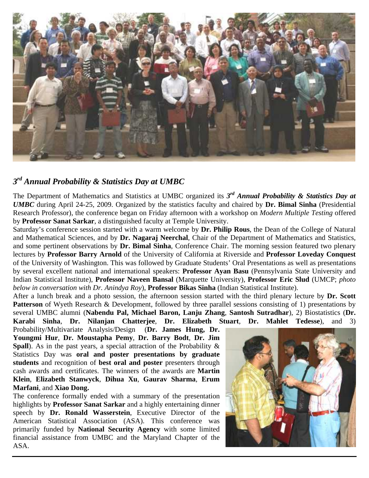

#### *3rd Annual Probability & Statistics Day at UMBC*

The Department of Mathematics and Statistics at UMBC organized its *3rd Annual Probability & Statistics Day at UMBC* during April 24-25, 2009. Organized by the statistics faculty and chaired by **Dr. Bimal Sinha** (Presidential Research Professor), the conference began on Friday afternoon with a workshop on *Modern Multiple Testing* offered by **Professor Sanat Sarkar**, a distinguished faculty at Temple University.

Saturday's conference session started with a warm welcome by **Dr. Philip Rous**, the Dean of the College of Natural and Mathematical Sciences, and by **Dr. Nagaraj Neerchal**, Chair of the Department of Mathematics and Statistics, and some pertinent observations by **Dr. Bimal Sinha**, Conference Chair. The morning session featured two plenary lectures by **Professor Barry Arnold** of the University of California at Riverside and **Professor Loveday Conquest** of the University of Washington. This was followed by Graduate Students' Oral Presentations as well as presentations by several excellent national and international speakers: **Professor Ayan Basu** (Pennsylvania State University and Indian Statistical Institute), **Professor Naveen Bansal** (Marquette University), **Professor Eric Slud** (UMCP; *photo below in conversation with Dr. Anindya Roy*), **Professor Bikas Sinha** (Indian Statistical Institute).

After a lunch break and a photo session, the afternoon session started with the third plenary lecture by **Dr. Scott Patterson** of Wyeth Research & Development, followed by three parallel sessions consisting of 1) presentations by several UMBC alumni (**Nabendu Pal, Michael Baron, Lanju Zhang**, **Santosh Sutradhar**), 2) Biostatistics (**Dr. Karabi Sinha**, **Dr. Nilanjan Chatterjee**, **Dr. Elizabeth Stuart**, **Dr. Mahlet Tedesse**), and 3)

Probability/Multivariate Analysis/Design (**Dr. James Hung, Dr. Youngmi Hur**, **Dr. Moustapha Pemy**, **Dr. Barry Bodt**, **Dr. Jim Spall**). As in the past years, a special attraction of the Probability & Statistics Day was **oral and poster presentations by graduate students** and recognition of **best oral and poster** presenters through cash awards and certificates. The winners of the awards are **Martin Klein**, **Elizabeth Stanwyck**, **Dihua Xu**, **Gaurav Sharma**, **Erum Marfani**, and **Xiao Dong.** 

The conference formally ended with a summary of the presentation highlights by **Professor Sanat Sarkar** and a highly entertaining dinner speech by **Dr. Ronald Wasserstein**, Executive Director of the American Statistical Association (ASA). This conference was primarily funded by **National Security Agency** with some limited financial assistance from UMBC and the Maryland Chapter of the ASA.